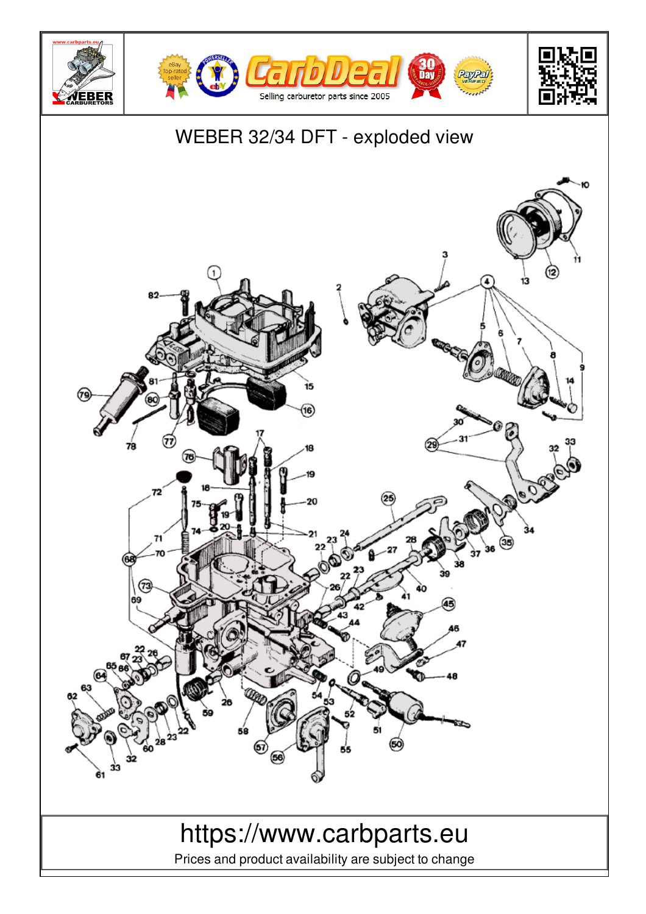